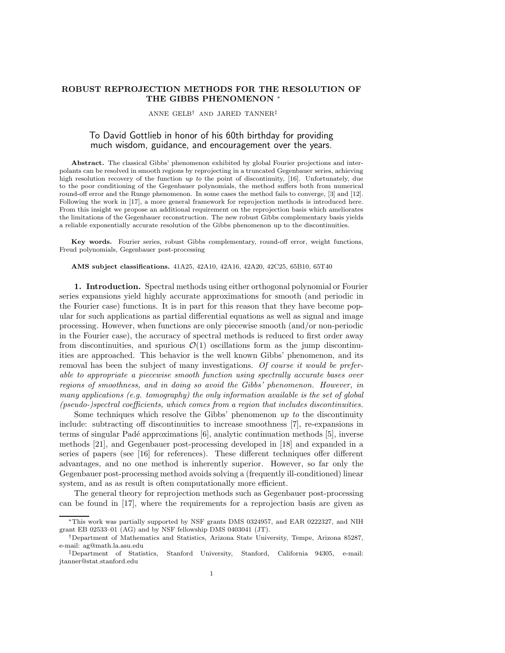### ROBUST REPROJECTION METHODS FOR THE RESOLUTION OF THE GIBBS PHENOMENON \*

#### ANNE GELB† AND JARED TANNER‡

# To David Gottlieb in honor of his 60th birthday for providing much wisdom, guidance, and encouragement over the years.

Abstract. The classical Gibbs' phenomenon exhibited by global Fourier projections and interpolants can be resolved in smooth regions by reprojecting in a truncated Gegenbauer series, achieving high resolution recovery of the function up to the point of discontinuity, [16]. Unfortunately, due to the poor conditioning of the Gegenbauer polynomials, the method suffers both from numerical round-off error and the Runge phenomenon. In some cases the method fails to converge, [3] and [12]. Following the work in [17], a more general framework for reprojection methods is introduced here. From this insight we propose an additional requirement on the reprojection basis which ameliorates the limitations of the Gegenbauer reconstruction. The new robust Gibbs complementary basis yields a reliable exponentially accurate resolution of the Gibbs phenomenon up to the discontinuities.

Key words. Fourier series, robust Gibbs complementary, round-off error, weight functions, Freud polynomials, Gegenbauer post-processing

#### AMS subject classifications. 41A25, 42A10, 42A16, 42A20, 42C25, 65B10, 65T40

1. Introduction. Spectral methods using either orthogonal polynomial or Fourier series expansions yield highly accurate approximations for smooth (and periodic in the Fourier case) functions. It is in part for this reason that they have become popular for such applications as partial differential equations as well as signal and image processing. However, when functions are only piecewise smooth (and/or non-periodic in the Fourier case), the accuracy of spectral methods is reduced to first order away from discontinuities, and spurious  $\mathcal{O}(1)$  oscillations form as the jump discontinuities are approached. This behavior is the well known Gibbs' phenomenon, and its removal has been the subject of many investigations. Of course it would be preferable to appropriate a piecewise smooth function using spectrally accurate bases over regions of smoothness, and in doing so avoid the Gibbs' phenomenon. However, in many applications (e.g. tomography) the only information available is the set of global (pseudo-)spectral coefficients, which comes from a region that includes discontinuities.

Some techniques which resolve the Gibbs' phenomenon  $up to$  the discontinuity include: subtracting off discontinuities to increase smoothness [7], re-expansions in terms of singular Padé approximations [6], analytic continuation methods [5], inverse methods [21], and Gegenbauer post-processing developed in [18] and expanded in a series of papers (see [16] for references). These different techniques offer different advantages, and no one method is inherently superior. However, so far only the Gegenbauer post-processing method avoids solving a (frequently ill-conditioned) linear system, and as as result is often computationally more efficient.

The general theory for reprojection methods such as Gegenbauer post-processing can be found in [17], where the requirements for a reprojection basis are given as

<sup>∗</sup>This work was partially supported by NSF grants DMS 0324957, and EAR 0222327, and NIH grant EB 02533–01 (AG) and by NSF fellowship DMS 0403041 (JT).

<sup>†</sup>Department of Mathematics and Statistics, Arizona State University, Tempe, Arizona 85287, e-mail: ag@math.la.asu.edu

<sup>‡</sup>Department of Statistics, Stanford University, Stanford, California 94305, e-mail: jtanner@stat.stanford.edu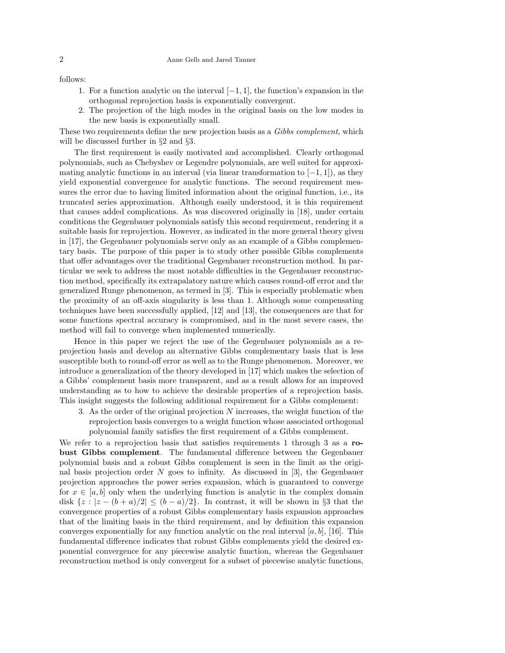### 2 Anne Gelb and Jared Tanner

follows:

- 1. For a function analytic on the interval [−1, 1], the function's expansion in the orthogonal reprojection basis is exponentially convergent.
- 2. The projection of the high modes in the original basis on the low modes in the new basis is exponentially small.

These two requirements define the new projection basis as a Gibbs complement, which will be discussed further in §2 and §3.

The first requirement is easily motivated and accomplished. Clearly orthogonal polynomials, such as Chebyshev or Legendre polynomials, are well suited for approximating analytic functions in an interval (via linear transformation to  $[-1, 1]$ ), as they yield exponential convergence for analytic functions. The second requirement measures the error due to having limited information about the original function, i.e., its truncated series approximation. Although easily understood, it is this requirement that causes added complications. As was discovered originally in [18], under certain conditions the Gegenbauer polynomials satisfy this second requirement, rendering it a suitable basis for reprojection. However, as indicated in the more general theory given in [17], the Gegenbauer polynomials serve only as an example of a Gibbs complementary basis. The purpose of this paper is to study other possible Gibbs complements that offer advantages over the traditional Gegenbauer reconstruction method. In particular we seek to address the most notable difficulties in the Gegenbauer reconstruction method, specifically its extrapalatory nature which causes round-off error and the generalized Runge phenomenon, as termed in [3]. This is especially problematic when the proximity of an off-axis singularity is less than 1. Although some compensating techniques have been successfully applied, [12] and [13], the consequences are that for some functions spectral accuracy is compromised, and in the most severe cases, the method will fail to converge when implemented numerically.

Hence in this paper we reject the use of the Gegenbauer polynomials as a reprojection basis and develop an alternative Gibbs complementary basis that is less susceptible both to round-off error as well as to the Runge phenomenon. Moreover, we introduce a generalization of the theory developed in [17] which makes the selection of a Gibbs' complement basis more transparent, and as a result allows for an improved understanding as to how to achieve the desirable properties of a reprojection basis. This insight suggests the following additional requirement for a Gibbs complement:

3. As the order of the original projection N increases, the weight function of the reprojection basis converges to a weight function whose associated orthogonal polynomial family satisfies the first requirement of a Gibbs complement.

We refer to a reprojection basis that satisfies requirements 1 through 3 as a robust Gibbs complement. The fundamental difference between the Gegenbauer polynomial basis and a robust Gibbs complement is seen in the limit as the original basis projection order  $N$  goes to infinity. As discussed in [3], the Gegenbauer projection approaches the power series expansion, which is guaranteed to converge for  $x \in [a, b]$  only when the underlying function is analytic in the complex domain disk  $\{z : |z - (b + a)/2| \le (b - a)/2\}$ . In contrast, it will be shown in §3 that the convergence properties of a robust Gibbs complementary basis expansion approaches that of the limiting basis in the third requirement, and by definition this expansion converges exponentially for any function analytic on the real interval  $[a, b]$ , [16]. This fundamental difference indicates that robust Gibbs complements yield the desired exponential convergence for any piecewise analytic function, whereas the Gegenbauer reconstruction method is only convergent for a subset of piecewise analytic functions,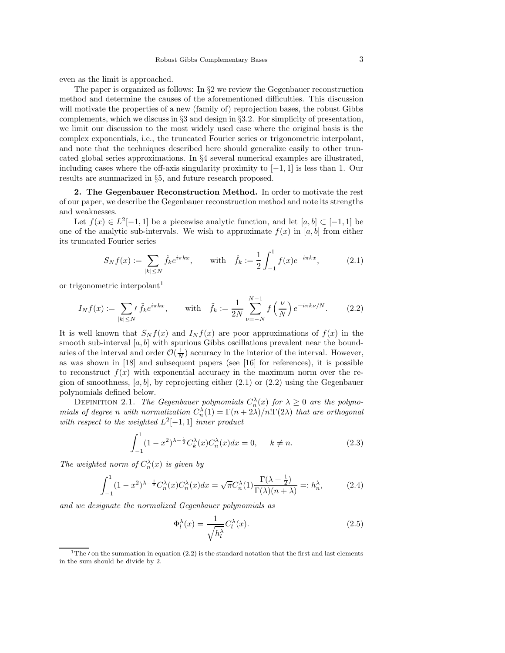even as the limit is approached.

The paper is organized as follows: In  $\S2$  we review the Gegenbauer reconstruction method and determine the causes of the aforementioned difficulties. This discussion will motivate the properties of a new (family of) reprojection bases, the robust Gibbs complements, which we discuss in §3 and design in §3.2. For simplicity of presentation, we limit our discussion to the most widely used case where the original basis is the complex exponentials, i.e., the truncated Fourier series or trigonometric interpolant, and note that the techniques described here should generalize easily to other truncated global series approximations. In §4 several numerical examples are illustrated, including cases where the off-axis singularity proximity to  $[-1, 1]$  is less than 1. Our results are summarized in §5, and future research proposed.

2. The Gegenbauer Reconstruction Method. In order to motivate the rest of our paper, we describe the Gegenbauer reconstruction method and note its strengths and weaknesses.

Let  $f(x) \in L^2[-1,1]$  be a piecewise analytic function, and let  $[a, b] \subset [-1,1]$  be one of the analytic sub-intervals. We wish to approximate  $f(x)$  in [a, b] from either its truncated Fourier series

$$
S_N f(x) := \sum_{|k| \le N} \hat{f}_k e^{i\pi k x}, \quad \text{with} \quad \hat{f}_k := \frac{1}{2} \int_{-1}^1 f(x) e^{-i\pi k x}, \quad (2.1)
$$

or trigonometric interpolant 1

$$
I_N f(x) := \sum_{|k| \le N'} \tilde{f}_k e^{i\pi k x}, \quad \text{with} \quad \tilde{f}_k := \frac{1}{2N} \sum_{\nu = -N}^{N-1} f\left(\frac{\nu}{N}\right) e^{-i\pi k \nu/N}.
$$
 (2.2)

It is well known that  $S_N f(x)$  and  $I_N f(x)$  are poor approximations of  $f(x)$  in the smooth sub-interval  $[a, b]$  with spurious Gibbs oscillations prevalent near the boundaries of the interval and order  $\mathcal{O}(\frac{1}{N})$  accuracy in the interior of the interval. However, as was shown in [18] and subsequent papers (see [16] for references), it is possible to reconstruct  $f(x)$  with exponential accuracy in the maximum norm over the region of smoothness,  $[a, b]$ , by reprojecting either  $(2.1)$  or  $(2.2)$  using the Gegenbauer polynomials defined below.

DEFINITION 2.1. The Gegenbauer polynomials  $C_n^{\lambda}(x)$  for  $\lambda \geq 0$  are the polynomials of degree n with normalization  $C_n^{\lambda}(1) = \Gamma(n + 2\lambda)/n! \Gamma(2\lambda)$  that are orthogonal with respect to the weighted  $L^2[-1,1]$  inner product

$$
\int_{-1}^{1} (1 - x^2)^{\lambda - \frac{1}{2}} C_k^{\lambda}(x) C_n^{\lambda}(x) dx = 0, \quad k \neq n.
$$
 (2.3)

The weighted norm of  $C_n^{\lambda}(x)$  is given by

$$
\int_{-1}^{1} (1 - x^2)^{\lambda - \frac{1}{2}} C_n^{\lambda}(x) C_n^{\lambda}(x) dx = \sqrt{\pi} C_n^{\lambda}(1) \frac{\Gamma(\lambda + \frac{1}{2})}{\Gamma(\lambda)(n + \lambda)} =: h_n^{\lambda}, \tag{2.4}
$$

and we designate the normalized Gegenbauer polynomials as

$$
\Phi_l^{\lambda}(x) = \frac{1}{\sqrt{h_l^{\lambda}}} C_l^{\lambda}(x). \tag{2.5}
$$

<sup>&</sup>lt;sup>1</sup>The *I* on the summation in equation (2.2) is the standard notation that the first and last elements in the sum should be divide by 2.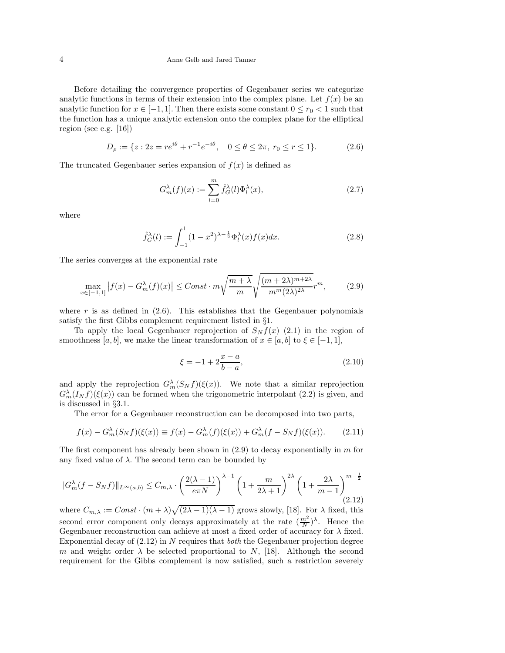#### 4 Anne Gelb and Jared Tanner

Before detailing the convergence properties of Gegenbauer series we categorize analytic functions in terms of their extension into the complex plane. Let  $f(x)$  be an analytic function for  $x \in [-1, 1]$ . Then there exists some constant  $0 \le r_0 < 1$  such that the function has a unique analytic extension onto the complex plane for the elliptical region (see e.g. [16])

$$
D_{\rho} := \{ z : 2z = re^{i\theta} + r^{-1}e^{-i\theta}, \quad 0 \le \theta \le 2\pi, \ r_0 \le r \le 1 \}. \tag{2.6}
$$

The truncated Gegenbauer series expansion of  $f(x)$  is defined as

$$
G_m^{\lambda}(f)(x) := \sum_{l=0}^{m} \hat{f}_G^{\lambda}(l)\Phi_l^{\lambda}(x),\tag{2.7}
$$

where

$$
\hat{f}_G^{\lambda}(l) := \int_{-1}^{1} (1 - x^2)^{\lambda - \frac{1}{2}} \Phi_l^{\lambda}(x) f(x) dx.
$$
 (2.8)

The series converges at the exponential rate

$$
\max_{x \in [-1,1]} |f(x) - G_m^{\lambda}(f)(x)| \leq Const \cdot m \sqrt{\frac{m+\lambda}{m}} \sqrt{\frac{(m+2\lambda)^{m+2\lambda}}{m^m (2\lambda)^{2\lambda}}} r^m, \tag{2.9}
$$

where r is as defined in  $(2.6)$ . This establishes that the Gegenbauer polynomials satisfy the first Gibbs complement requirement listed in §1.

To apply the local Gegenbauer reprojection of  $S_N f(x)$  (2.1) in the region of smoothness [a, b], we make the linear transformation of  $x \in [a, b]$  to  $\xi \in [-1, 1]$ ,

$$
\xi = -1 + 2\frac{x - a}{b - a},\tag{2.10}
$$

and apply the reprojection  $G_m^{\lambda}(S_N f)(\xi(x))$ . We note that a similar reprojection  $G_m^{\lambda}(I_N f)(\xi(x))$  can be formed when the trigonometric interpolant (2.2) is given, and is discussed in §3.1.

The error for a Gegenbauer reconstruction can be decomposed into two parts,

$$
f(x) - G_m^{\lambda}(S_N f)(\xi(x)) \equiv f(x) - G_m^{\lambda}(f)(\xi(x)) + G_m^{\lambda}(f - S_N f)(\xi(x)).
$$
 (2.11)

The first component has already been shown in  $(2.9)$  to decay exponentially in m for any fixed value of  $\lambda$ . The second term can be bounded by

$$
||G_m^{\lambda}(f - S_N f)||_{L^{\infty}(a,b)} \leq C_{m,\lambda} \cdot \left(\frac{2(\lambda - 1)}{e\pi N}\right)^{\lambda - 1} \left(1 + \frac{m}{2\lambda + 1}\right)^{2\lambda} \left(1 + \frac{2\lambda}{m - 1}\right)^{m - \frac{1}{2}} (2.12)
$$

where  $C_{m,\lambda} := Const \cdot (m+\lambda)\sqrt{(2\lambda-1)(\lambda-1)}$  grows slowly, [18]. For  $\lambda$  fixed, this second error component only decays approximately at the rate  $(\frac{m^2}{N})^{\lambda}$ . Hence the Gegenbauer reconstruction can achieve at most a fixed order of accuracy for  $\lambda$  fixed. Exponential decay of  $(2.12)$  in N requires that *both* the Gegenbauer projection degree m and weight order  $\lambda$  be selected proportional to N, [18]. Although the second requirement for the Gibbs complement is now satisfied, such a restriction severely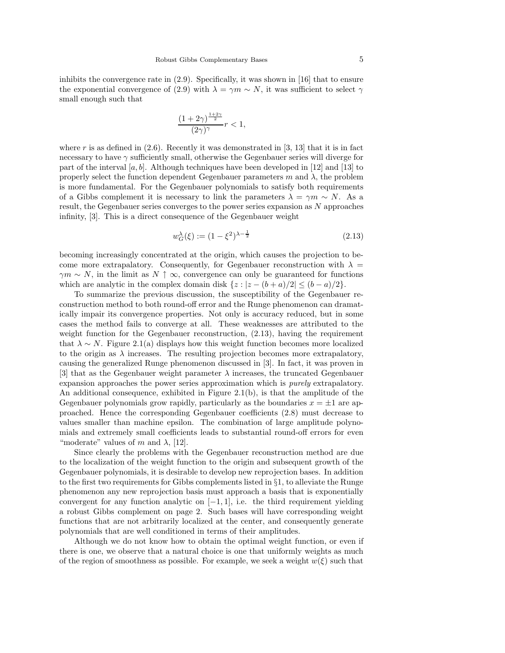inhibits the convergence rate in (2.9). Specifically, it was shown in [16] that to ensure the exponential convergence of (2.9) with  $\lambda = \gamma m \sim N$ , it was sufficient to select  $\gamma$ small enough such that

$$
\frac{(1+2\gamma)^{\frac{1+2\gamma}{2}}}{(2\gamma)^{\gamma}}r<1,
$$

where r is as defined in  $(2.6)$ . Recently it was demonstrated in [3, 13] that it is in fact necessary to have  $\gamma$  sufficiently small, otherwise the Gegenbauer series will diverge for part of the interval [a, b]. Although techniques have been developed in [12] and [13] to properly select the function dependent Gegenbauer parameters  $m$  and  $\lambda$ , the problem is more fundamental. For the Gegenbauer polynomials to satisfy both requirements of a Gibbs complement it is necessary to link the parameters  $\lambda = \gamma m \sim N$ . As a result, the Gegenbauer series converges to the power series expansion as N approaches infinity, [3]. This is a direct consequence of the Gegenbauer weight

$$
w_G^{\lambda}(\xi) := (1 - \xi^2)^{\lambda - \frac{1}{2}} \tag{2.13}
$$

becoming increasingly concentrated at the origin, which causes the projection to become more extrapalatory. Consequently, for Gegenbauer reconstruction with  $\lambda =$  $\gamma m \sim N$ , in the limit as  $N \uparrow \infty$ , convergence can only be guaranteed for functions which are analytic in the complex domain disk  $\{z : |z - (b + a)/2| \le (b - a)/2\}.$ 

To summarize the previous discussion, the susceptibility of the Gegenbauer reconstruction method to both round-off error and the Runge phenomenon can dramatically impair its convergence properties. Not only is accuracy reduced, but in some cases the method fails to converge at all. These weaknesses are attributed to the weight function for the Gegenbauer reconstruction,  $(2.13)$ , having the requirement that  $\lambda \sim N$ . Figure 2.1(a) displays how this weight function becomes more localized to the origin as  $\lambda$  increases. The resulting projection becomes more extrapalatory, causing the generalized Runge phenomenon discussed in [3]. In fact, it was proven in [3] that as the Gegenbauer weight parameter  $\lambda$  increases, the truncated Gegenbauer expansion approaches the power series approximation which is purely extrapalatory. An additional consequence, exhibited in Figure 2.1(b), is that the amplitude of the Gegenbauer polynomials grow rapidly, particularly as the boundaries  $x = \pm 1$  are approached. Hence the corresponding Gegenbauer coefficients (2.8) must decrease to values smaller than machine epsilon. The combination of large amplitude polynomials and extremely small coefficients leads to substantial round-off errors for even "moderate" values of m and  $\lambda$ , [12].

Since clearly the problems with the Gegenbauer reconstruction method are due to the localization of the weight function to the origin and subsequent growth of the Gegenbauer polynomials, it is desirable to develop new reprojection bases. In addition to the first two requirements for Gibbs complements listed in  $\S1$ , to alleviate the Runge phenomenon any new reprojection basis must approach a basis that is exponentially convergent for any function analytic on  $[-1, 1]$ , i.e. the third requirement yielding a robust Gibbs complement on page 2. Such bases will have corresponding weight functions that are not arbitrarily localized at the center, and consequently generate polynomials that are well conditioned in terms of their amplitudes.

Although we do not know how to obtain the optimal weight function, or even if there is one, we observe that a natural choice is one that uniformly weights as much of the region of smoothness as possible. For example, we seek a weight  $w(\xi)$  such that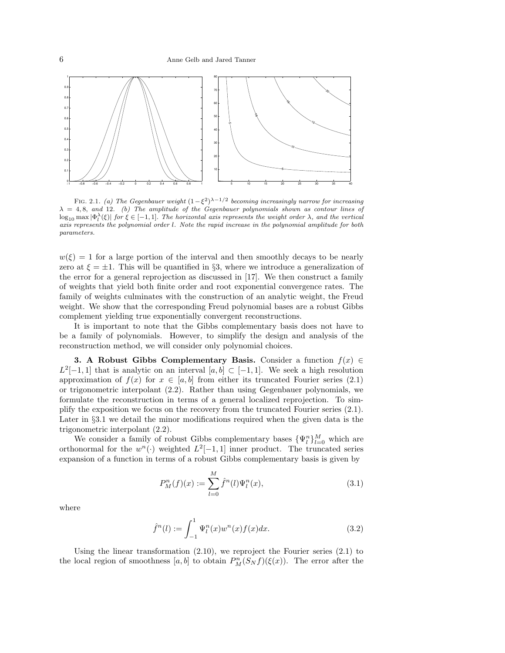

FIG. 2.1. (a) The Gegenbauer weight  $(1-\xi^2)^{\lambda-1/2}$  becoming increasingly narrow for increasing  $\lambda = 4, 8,$  and 12. (b) The amplitude of the Gegenbauer polynomials shown as contour lines of  $\log_{10} \max |\Phi_l^{\lambda}(\xi)|$  for  $\xi \in [-1,1]$ . The horizontal axis represents the weight order  $\lambda$ , and the vertical axis represents the polynomial order l. Note the rapid increase in the polynomial amplitude for both parameters.

 $w(\xi) = 1$  for a large portion of the interval and then smoothly decays to be nearly zero at  $\xi = \pm 1$ . This will be quantified in §3, where we introduce a generalization of the error for a general reprojection as discussed in [17]. We then construct a family of weights that yield both finite order and root exponential convergence rates. The family of weights culminates with the construction of an analytic weight, the Freud weight. We show that the corresponding Freud polynomial bases are a robust Gibbs complement yielding true exponentially convergent reconstructions.

It is important to note that the Gibbs complementary basis does not have to be a family of polynomials. However, to simplify the design and analysis of the reconstruction method, we will consider only polynomial choices.

**3.** A Robust Gibbs Complementary Basis. Consider a function  $f(x) \in$  $L^2[-1,1]$  that is analytic on an interval  $[a,b] \subset [-1,1]$ . We seek a high resolution approximation of  $f(x)$  for  $x \in [a, b]$  from either its truncated Fourier series (2.1) or trigonometric interpolant (2.2). Rather than using Gegenbauer polynomials, we formulate the reconstruction in terms of a general localized reprojection. To simplify the exposition we focus on the recovery from the truncated Fourier series (2.1). Later in §3.1 we detail the minor modifications required when the given data is the trigonometric interpolant (2.2).

We consider a family of robust Gibbs complementary bases  $\{\Psi_l^n\}_{l=0}^M$  which are orthonormal for the  $w^n(\cdot)$  weighted  $L^2[-1,1]$  inner product. The truncated series expansion of a function in terms of a robust Gibbs complementary basis is given by

$$
P_M^n(f)(x) := \sum_{l=0}^M \hat{f}^n(l)\Psi_l^n(x),\tag{3.1}
$$

where

$$
\hat{f}^{n}(l) := \int_{-1}^{1} \Psi_{l}^{n}(x) w^{n}(x) f(x) dx.
$$
\n(3.2)

Using the linear transformation  $(2.10)$ , we reproject the Fourier series  $(2.1)$  to the local region of smoothness  $[a, b]$  to obtain  $P_M^n(S_N f)(\xi(x))$ . The error after the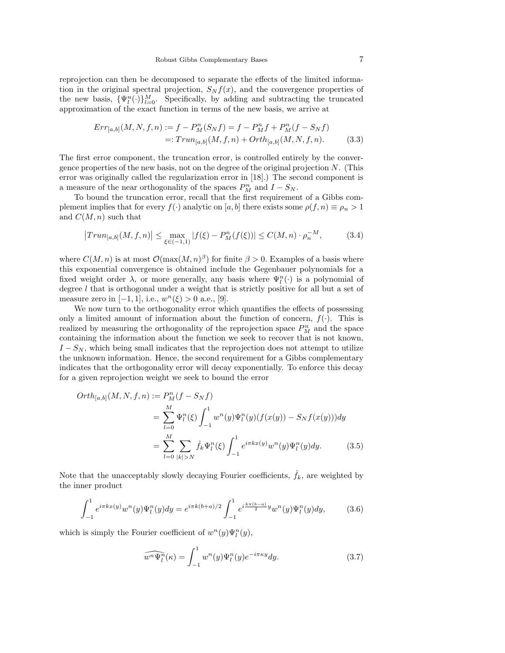reprojection can then be decomposed to separate the effects of the limited information in the original spectral projection,  $S_N f(x)$ , and the convergence properties of the new basis,  $\{\Psi_l^n(\cdot)\}_{l=0}^M$ . Specifically, by adding and subtracting the truncated approximation of the exact function in terms of the new basis, we arrive at

$$
Err_{[a,b]}(M, N, f, n) := f - P_M^n(S_N f) = f - P_M^n f + P_M^n (f - S_N f)
$$
  
=: 
$$
Trun_{[a,b]}(M, f, n) + Orth_{[a,b]}(M, N, f, n).
$$
 (3.3)

The first error component, the truncation error, is controlled entirely by the convergence properties of the new basis, not on the degree of the original projection  $N$ . (This error was originally called the regularization error in [18].) The second component is a measure of the near orthogonality of the spaces  $P_M^n$  and  $I - S_N$ .

To bound the truncation error, recall that the first requirement of a Gibbs complement implies that for every  $f(\cdot)$  analytic on [a, b] there exists some  $\rho(f, n) \equiv \rho_n > 1$ and  $C(M, n)$  such that

$$
|Trun_{[a,b]}(M,f,n)| \le \max_{\xi \in (-1,1)} |f(\xi) - P_M^n(f(\xi))| \le C(M,n) \cdot \rho_n^{-M},\tag{3.4}
$$

where  $C(M, n)$  is at most  $\mathcal{O}(\max(M, n)^{\beta})$  for finite  $\beta > 0$ . Examples of a basis where this exponential convergence is obtained include the Gegenbauer polynomials for a fixed weight order  $\lambda$ , or more generally, any basis where  $\Psi_l^n(\cdot)$  is a polynomial of degree l that is orthogonal under a weight that is strictly positive for all but a set of measure zero in  $[-1, 1]$ , i.e.,  $w^{n}(\xi) > 0$  a.e., [9].

We now turn to the orthogonality error which quantifies the effects of possessing only a limited amount of information about the function of concern,  $f(\cdot)$ . This is realized by measuring the orthogonality of the reprojection space  $P_M^n$  and the space containing the information about the function we seek to recover that is not known,  $I - S_N$ , which being small indicates that the reprojection does not attempt to utilize the unknown information. Hence, the second requirement for a Gibbs complementary indicates that the orthogonality error will decay exponentially. To enforce this decay for a given reprojection weight we seek to bound the error

$$
Orth_{[a,b]}(M, N, f, n) := P_M^n(f - S_N f)
$$
  
= 
$$
\sum_{l=0}^M \Psi_l^n(\xi) \int_{-1}^1 w^n(y) \Psi_l^n(y) (f(x(y)) - S_N f(x(y))) dy
$$
  
= 
$$
\sum_{l=0}^M \sum_{|k|>N} \hat{f}_k \Psi_l^n(\xi) \int_{-1}^1 e^{i\pi k x(y)} w^n(y) \Psi_l^n(y) dy.
$$
 (3.5)

Note that the unacceptably slowly decaying Fourier coefficients,  $\hat{f}_k$ , are weighted by the inner product

$$
\int_{-1}^{1} e^{i\pi kx(y)} w^n(y) \Psi_l^n(y) dy = e^{i\pi k(b+a)/2} \int_{-1}^{1} e^{i\frac{k\pi(b-a)}{2}y} w^n(y) \Psi_l^n(y) dy, \tag{3.6}
$$

which is simply the Fourier coefficient of  $w^n(y)\Psi_l^n(y)$ ,

$$
\widehat{w^n \Psi_l^n}(\kappa) = \int_{-1}^1 w^n(y) \Psi_l^n(y) e^{-i\pi\kappa y} dy.
$$
\n(3.7)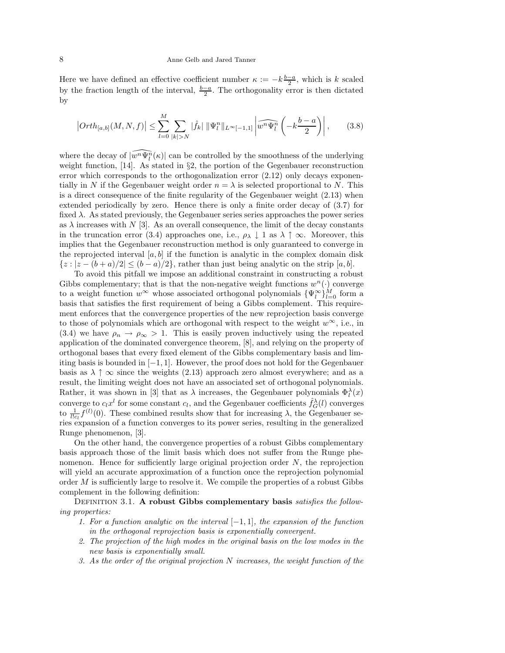Here we have defined an effective coefficient number  $\kappa := -k\frac{b-a}{2}$ , which is k scaled by the fraction length of the interval,  $\frac{b-a}{2}$ . The orthogonality error is then dictated by

$$
|Orth_{[a,b]}(M,N,f)| \leq \sum_{l=0}^{M} \sum_{|k|>N} |\hat{f}_k| \, \|\Psi_l^n\|_{L^{\infty}[-1,1]} \left| \widehat{w^n \Psi_l^n} \left( -k \frac{b-a}{2} \right) \right|, \tag{3.8}
$$

where the decay of  $\widehat{[w^n\Psi^n_l}(\kappa)|$  can be controlled by the smoothness of the underlying weight function, [14]. As stated in §2, the portion of the Gegenbauer reconstruction error which corresponds to the orthogonalization error (2.12) only decays exponentially in N if the Gegenbauer weight order  $n = \lambda$  is selected proportional to N. This is a direct consequence of the finite regularity of the Gegenbauer weight (2.13) when extended periodically by zero. Hence there is only a finite order decay of (3.7) for fixed  $\lambda$ . As stated previously, the Gegenbauer series series approaches the power series as  $\lambda$  increases with N [3]. As an overall consequence, the limit of the decay constants in the truncation error (3.4) approaches one, i.e.,  $\rho_{\lambda} \downarrow 1$  as  $\lambda \uparrow \infty$ . Moreover, this implies that the Gegenbauer reconstruction method is only guaranteed to converge in the reprojected interval  $[a, b]$  if the function is analytic in the complex domain disk  ${z : |z - (b + a)/2| \le (b - a)/2}$ , rather than just being analytic on the strip [a, b].

To avoid this pitfall we impose an additional constraint in constructing a robust Gibbs complementary; that is that the non-negative weight functions  $w^n(.)$  converge to a weight function  $w^{\infty}$  whose associated orthogonal polynomials  $\{\Psi_l^{\infty}\}_{l=0}^M$  form a basis that satisfies the first requirement of being a Gibbs complement. This requirement enforces that the convergence properties of the new reprojection basis converge to those of polynomials which are orthogonal with respect to the weight  $w^{\infty}$ , i.e., in (3.4) we have  $\rho_n \to \rho_\infty > 1$ . This is easily proven inductively using the repeated application of the dominated convergence theorem, [8], and relying on the property of orthogonal bases that every fixed element of the Gibbs complementary basis and limiting basis is bounded in  $[-1, 1]$ . However, the proof does not hold for the Gegenbauer basis as  $\lambda \uparrow \infty$  since the weights (2.13) approach zero almost everywhere; and as a result, the limiting weight does not have an associated set of orthogonal polynomials. Rather, it was shown in [3] that as  $\lambda$  increases, the Gegenbauer polynomials  $\Phi_l^{\lambda}(x)$ converge to  $c_l x^l$  for some constant  $c_l$ , and the Gegenbauer coefficients  $\hat{f}_G^{\lambda}(l)$  converges to  $\frac{1}{l!c_l}f^{(l)}(0)$ . These combined results show that for increasing  $\lambda$ , the Gegenbauer series expansion of a function converges to its power series, resulting in the generalized Runge phenomenon, [3].

On the other hand, the convergence properties of a robust Gibbs complementary basis approach those of the limit basis which does not suffer from the Runge phenomenon. Hence for sufficiently large original projection order  $N$ , the reprojection will yield an accurate approximation of a function once the reprojection polynomial order  $M$  is sufficiently large to resolve it. We compile the properties of a robust Gibbs complement in the following definition:

DEFINITION 3.1. A robust Gibbs complementary basis satisfies the following properties:

- 1. For a function analytic on the interval [−1, 1], the expansion of the function in the orthogonal reprojection basis is exponentially convergent.
- 2. The projection of the high modes in the original basis on the low modes in the new basis is exponentially small.
- 3. As the order of the original projection N increases, the weight function of the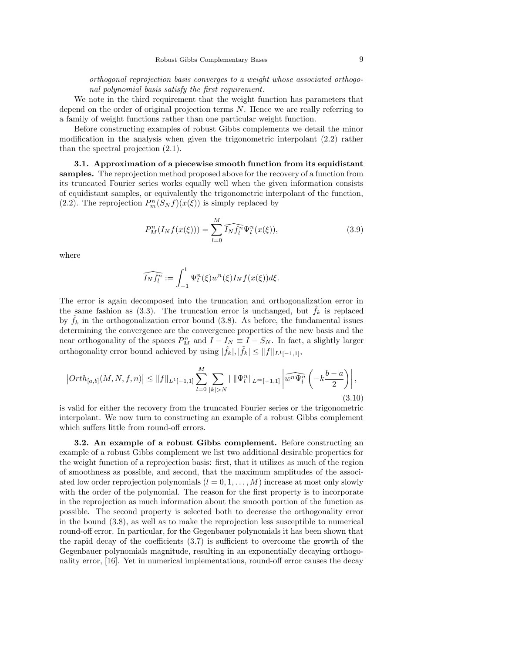orthogonal reprojection basis converges to a weight whose associated orthogonal polynomial basis satisfy the first requirement.

We note in the third requirement that the weight function has parameters that depend on the order of original projection terms N. Hence we are really referring to a family of weight functions rather than one particular weight function.

Before constructing examples of robust Gibbs complements we detail the minor modification in the analysis when given the trigonometric interpolant (2.2) rather than the spectral projection (2.1).

3.1. Approximation of a piecewise smooth function from its equidistant samples. The reprojection method proposed above for the recovery of a function from its truncated Fourier series works equally well when the given information consists of equidistant samples, or equivalently the trigonometric interpolant of the function, (2.2). The reprojection  $P_m^n(S_N f)(x(\xi))$  is simply replaced by

$$
P_M^n(I_N f(x(\xi))) = \sum_{l=0}^M \widehat{I_N f_l^n} \Psi_l^n(x(\xi)),
$$
\n(3.9)

where

$$
\widehat{I_Nf_l^n} := \int_{-1}^1 \Psi_l^n(\xi) w^n(\xi) I_N f(x(\xi)) d\xi.
$$

The error is again decomposed into the truncation and orthogonalization error in the same fashion as  $(3.3)$ . The truncation error is unchanged, but  $f_k$  is replaced by  $\tilde{f}_k$  in the orthogonalization error bound (3.8). As before, the fundamental issues determining the convergence are the convergence properties of the new basis and the near orthogonality of the spaces  $P_M^n$  and  $I - I_N \equiv I - S_N$ . In fact, a slightly larger orthogonality error bound achieved by using  $|\hat{f}_k|, |\tilde{f}_k| \leq ||f||_{L^1[-1,1]},$ 

$$
\left|\text{Orth}_{[a,b]}(M,N,f,n)\right| \le \|f\|_{L^1[-1,1]} \sum_{l=0}^M \sum_{|k|>N} \|\Psi_l^n\|_{L^\infty[-1,1]} \left|\widehat{w^n \Psi_l^n}\left(-k\frac{b-a}{2}\right)\right|,\tag{3.10}
$$

is valid for either the recovery from the truncated Fourier series or the trigonometric interpolant. We now turn to constructing an example of a robust Gibbs complement which suffers little from round-off errors.

3.2. An example of a robust Gibbs complement. Before constructing an example of a robust Gibbs complement we list two additional desirable properties for the weight function of a reprojection basis: first, that it utilizes as much of the region of smoothness as possible, and second, that the maximum amplitudes of the associated low order reprojection polynomials  $(l = 0, 1, \ldots, M)$  increase at most only slowly with the order of the polynomial. The reason for the first property is to incorporate in the reprojection as much information about the smooth portion of the function as possible. The second property is selected both to decrease the orthogonality error in the bound (3.8), as well as to make the reprojection less susceptible to numerical round-off error. In particular, for the Gegenbauer polynomials it has been shown that the rapid decay of the coefficients (3.7) is sufficient to overcome the growth of the Gegenbauer polynomials magnitude, resulting in an exponentially decaying orthogonality error, [16]. Yet in numerical implementations, round-off error causes the decay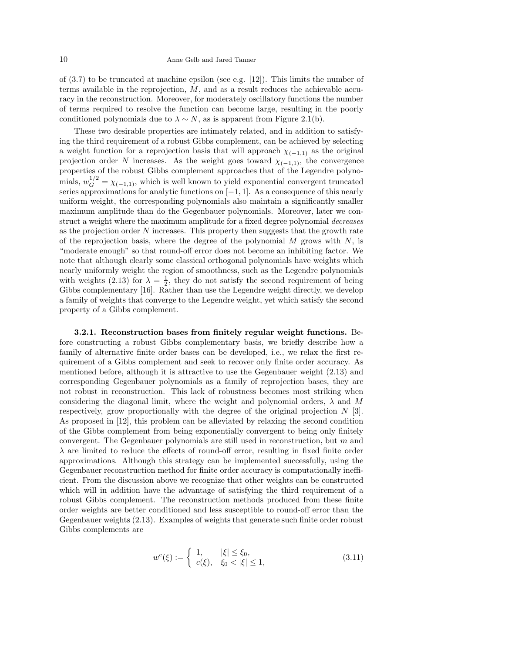of  $(3.7)$  to be truncated at machine epsilon (see e.g. [12]). This limits the number of terms available in the reprojection,  $M$ , and as a result reduces the achievable accuracy in the reconstruction. Moreover, for moderately oscillatory functions the number of terms required to resolve the function can become large, resulting in the poorly conditioned polynomials due to  $\lambda \sim N$ , as is apparent from Figure 2.1(b).

These two desirable properties are intimately related, and in addition to satisfying the third requirement of a robust Gibbs complement, can be achieved by selecting a weight function for a reprojection basis that will approach  $\chi_{(-1,1)}$  as the original projection order N increases. As the weight goes toward  $\chi_{(-1,1)}$ , the convergence properties of the robust Gibbs complement approaches that of the Legendre polynomials,  $w_G^{1/2} = \chi_{(-1,1)}$ , which is well known to yield exponential convergent truncated series approximations for analytic functions on  $[-1, 1]$ . As a consequence of this nearly uniform weight, the corresponding polynomials also maintain a significantly smaller maximum amplitude than do the Gegenbauer polynomials. Moreover, later we construct a weight where the maximum amplitude for a fixed degree polynomial decreases as the projection order  $N$  increases. This property then suggests that the growth rate of the reprojection basis, where the degree of the polynomial  $M$  grows with  $N$ , is "moderate enough" so that round-off error does not become an inhibiting factor. We note that although clearly some classical orthogonal polynomials have weights which nearly uniformly weight the region of smoothness, such as the Legendre polynomials with weights (2.13) for  $\lambda = \frac{1}{2}$ , they do not satisfy the second requirement of being Gibbs complementary [16]. Rather than use the Legendre weight directly, we develop a family of weights that converge to the Legendre weight, yet which satisfy the second property of a Gibbs complement.

3.2.1. Reconstruction bases from finitely regular weight functions. Before constructing a robust Gibbs complementary basis, we briefly describe how a family of alternative finite order bases can be developed, i.e., we relax the first requirement of a Gibbs complement and seek to recover only finite order accuracy. As mentioned before, although it is attractive to use the Gegenbauer weight (2.13) and corresponding Gegenbauer polynomials as a family of reprojection bases, they are not robust in reconstruction. This lack of robustness becomes most striking when considering the diagonal limit, where the weight and polynomial orders,  $\lambda$  and M respectively, grow proportionally with the degree of the original projection  $N$  [3]. As proposed in [12], this problem can be alleviated by relaxing the second condition of the Gibbs complement from being exponentially convergent to being only finitely convergent. The Gegenbauer polynomials are still used in reconstruction, but  $m$  and  $\lambda$  are limited to reduce the effects of round-off error, resulting in fixed finite order approximations. Although this strategy can be implemented successfully, using the Gegenbauer reconstruction method for finite order accuracy is computationally inefficient. From the discussion above we recognize that other weights can be constructed which will in addition have the advantage of satisfying the third requirement of a robust Gibbs complement. The reconstruction methods produced from these finite order weights are better conditioned and less susceptible to round-off error than the Gegenbauer weights (2.13). Examples of weights that generate such finite order robust Gibbs complements are

$$
w^{c}(\xi) := \begin{cases} 1, & |\xi| \le \xi_0, \\ c(\xi), & \xi_0 < |\xi| \le 1, \end{cases}
$$
 (3.11)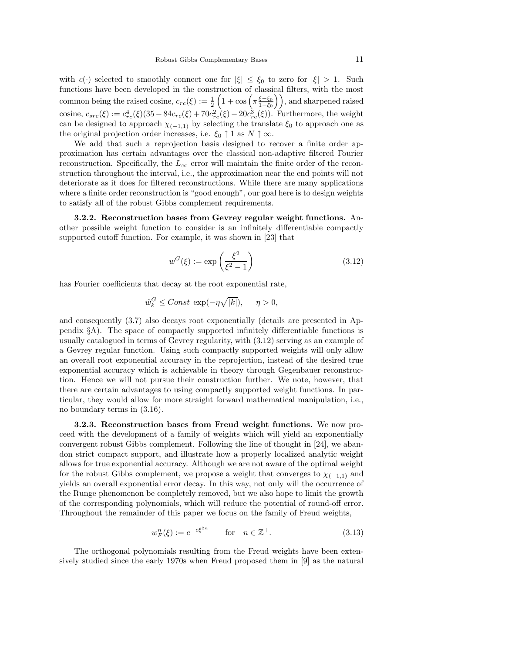with  $c(\cdot)$  selected to smoothly connect one for  $|\xi| \leq \xi_0$  to zero for  $|\xi| > 1$ . Such functions have been developed in the construction of classical filters, with the most common being the raised cosine,  $c_{rc}(\xi) := \frac{1}{2} \left( 1 + \cos \left( \pi \frac{\xi - \xi_0}{1 - \xi_0} \right) \right)$ , and sharpened raised cosine,  $c_{src}(\xi) := c_{rc}^4(\xi)(35 - 84c_{rc}(\xi) + 70c_{rc}^2(\xi) - 20c_{rc}^3(\xi))$ . Furthermore, the weight can be designed to approach  $\chi_{(-1,1)}$  by selecting the translate  $\xi_0$  to approach one as the original projection order increases, i.e.  $\xi_0 \uparrow 1$  as  $N \uparrow \infty$ .

We add that such a reprojection basis designed to recover a finite order approximation has certain advantages over the classical non-adaptive filtered Fourier reconstruction. Specifically, the  $L_{\infty}$  error will maintain the finite order of the reconstruction throughout the interval, i.e., the approximation near the end points will not deteriorate as it does for filtered reconstructions. While there are many applications where a finite order reconstruction is "good enough", our goal here is to design weights to satisfy all of the robust Gibbs complement requirements.

3.2.2. Reconstruction bases from Gevrey regular weight functions. Another possible weight function to consider is an infinitely differentiable compactly supported cutoff function. For example, it was shown in [23] that

$$
w^G(\xi) := \exp\left(\frac{\xi^2}{\xi^2 - 1}\right) \tag{3.12}
$$

has Fourier coefficients that decay at the root exponential rate,

$$
\hat{w}_k^G \leq Const \exp(-\eta \sqrt{|k|}), \quad \eta > 0,
$$

and consequently (3.7) also decays root exponentially (details are presented in Appendix  $\S$ A). The space of compactly supported infinitely differentiable functions is usually catalogued in terms of Gevrey regularity, with (3.12) serving as an example of a Gevrey regular function. Using such compactly supported weights will only allow an overall root exponential accuracy in the reprojection, instead of the desired true exponential accuracy which is achievable in theory through Gegenbauer reconstruction. Hence we will not pursue their construction further. We note, however, that there are certain advantages to using compactly supported weight functions. In particular, they would allow for more straight forward mathematical manipulation, i.e., no boundary terms in (3.16).

3.2.3. Reconstruction bases from Freud weight functions. We now proceed with the development of a family of weights which will yield an exponentially convergent robust Gibbs complement. Following the line of thought in [24], we abandon strict compact support, and illustrate how a properly localized analytic weight allows for true exponential accuracy. Although we are not aware of the optimal weight for the robust Gibbs complement, we propose a weight that converges to  $\chi_{(-1,1)}$  and yields an overall exponential error decay. In this way, not only will the occurrence of the Runge phenomenon be completely removed, but we also hope to limit the growth of the corresponding polynomials, which will reduce the potential of round-off error. Throughout the remainder of this paper we focus on the family of Freud weights,

$$
w_F^n(\xi) := e^{-c\xi^{2n}} \qquad \text{for} \quad n \in \mathbb{Z}^+.
$$
 (3.13)

The orthogonal polynomials resulting from the Freud weights have been extensively studied since the early 1970s when Freud proposed them in [9] as the natural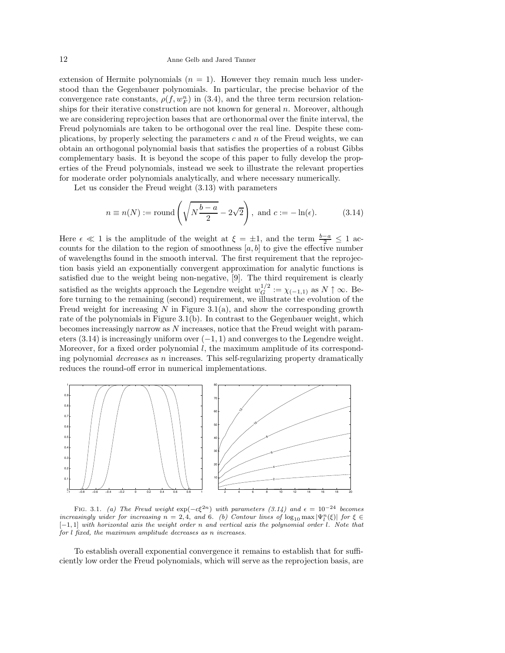### 12 Anne Gelb and Jared Tanner

extension of Hermite polynomials  $(n = 1)$ . However they remain much less understood than the Gegenbauer polynomials. In particular, the precise behavior of the convergence rate constants,  $\rho(f, w_F^n)$  in (3.4), and the three term recursion relationships for their iterative construction are not known for general  $n$ . Moreover, although we are considering reprojection bases that are orthonormal over the finite interval, the Freud polynomials are taken to be orthogonal over the real line. Despite these complications, by properly selecting the parameters  $c$  and  $n$  of the Freud weights, we can obtain an orthogonal polynomial basis that satisfies the properties of a robust Gibbs complementary basis. It is beyond the scope of this paper to fully develop the properties of the Freud polynomials, instead we seek to illustrate the relevant properties for moderate order polynomials analytically, and where necessary numerically.

Let us consider the Freud weight (3.13) with parameters

$$
n \equiv n(N) := \text{round}\left(\sqrt{N\frac{b-a}{2}} - 2\sqrt{2}\right), \text{ and } c := -\ln(\epsilon). \tag{3.14}
$$

Here  $\epsilon \ll 1$  is the amplitude of the weight at  $\xi = \pm 1$ , and the term  $\frac{b-a}{2} \le 1$  accounts for the dilation to the region of smoothness  $[a, b]$  to give the effective number of wavelengths found in the smooth interval. The first requirement that the reprojection basis yield an exponentially convergent approximation for analytic functions is satisfied due to the weight being non-negative, [9]. The third requirement is clearly satisfied as the weights approach the Legendre weight  $w_G^{1/2} := \chi_{(-1,1)}$  as  $N \uparrow \infty$ . Before turning to the remaining (second) requirement, we illustrate the evolution of the Freud weight for increasing  $N$  in Figure 3.1(a), and show the corresponding growth rate of the polynomials in Figure 3.1(b). In contrast to the Gegenbauer weight, which becomes increasingly narrow as  $N$  increases, notice that the Freud weight with parameters (3.14) is increasingly uniform over  $(-1, 1)$  and converges to the Legendre weight. Moreover, for a fixed order polynomial  $l$ , the maximum amplitude of its corresponding polynomial *decreases* as  $n$  increases. This self-regularizing property dramatically reduces the round-off error in numerical implementations.



FIG. 3.1. (a) The Freud weight  $\exp(-c\xi^{2n})$  with parameters (3.14) and  $\epsilon = 10^{-24}$  becomes increasingly wider for increasing  $n = 2, 4$ , and 6. (b) Contour lines of  $\log_{10} \max |\Psi_l^n(\xi)|$  for  $\xi \in$ [−1, 1] with horizontal axis the weight order n and vertical axis the polynomial order l. Note that for l fixed, the maximum amplitude decreases as n increases.

To establish overall exponential convergence it remains to establish that for sufficiently low order the Freud polynomials, which will serve as the reprojection basis, are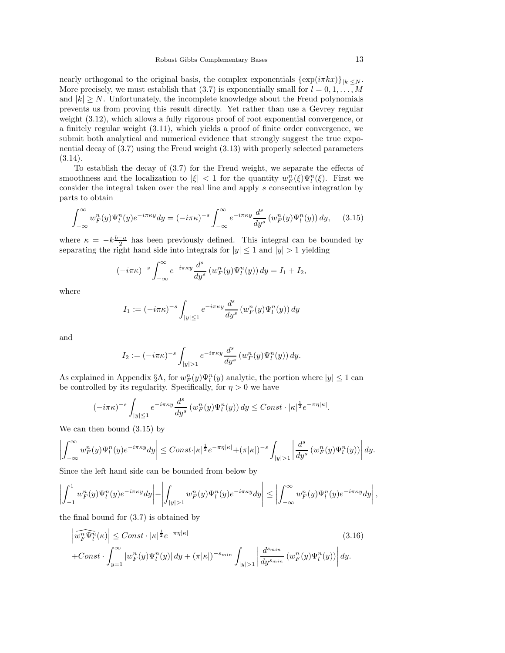nearly orthogonal to the original basis, the complex exponentials  $\{\exp(i\pi kx)\}_{|k| \leq N}$ . More precisely, we must establish that (3.7) is exponentially small for  $l = 0, 1, ..., M$ and  $|k| \geq N$ . Unfortunately, the incomplete knowledge about the Freud polynomials prevents us from proving this result directly. Yet rather than use a Gevrey regular weight (3.12), which allows a fully rigorous proof of root exponential convergence, or a finitely regular weight (3.11), which yields a proof of finite order convergence, we submit both analytical and numerical evidence that strongly suggest the true exponential decay of (3.7) using the Freud weight (3.13) with properly selected parameters  $(3.14).$ 

To establish the decay of (3.7) for the Freud weight, we separate the effects of smoothness and the localization to  $|\xi| < 1$  for the quantity  $w_F^n(\xi)\Psi_l^n(\xi)$ . First we consider the integral taken over the real line and apply s consecutive integration by parts to obtain

$$
\int_{-\infty}^{\infty} w_F^n(y) \Psi_l^n(y) e^{-i\pi \kappa y} dy = (-i\pi \kappa)^{-s} \int_{-\infty}^{\infty} e^{-i\pi \kappa y} \frac{d^s}{dy^s} \left( w_F^n(y) \Psi_l^n(y) \right) dy, \quad (3.15)
$$

where  $\kappa = -k\frac{b-a}{2}$  has been previously defined. This integral can be bounded by separating the right hand side into integrals for  $|y| \le 1$  and  $|y| > 1$  yielding

$$
(-i\pi\kappa)^{-s}\int_{-\infty}^{\infty}e^{-i\pi\kappa y}\frac{d^s}{dy^s}\left(w_F^n(y)\Psi_l^n(y)\right)dy = I_1 + I_2,
$$

where

$$
I_1 := (-i\pi\kappa)^{-s} \int_{|y| \le 1} e^{-i\pi\kappa y} \frac{d^s}{dy^s} \left(w_F^n(y)\Psi_l^n(y)\right) dy
$$

and

$$
I_2 := (-i\pi\kappa)^{-s} \int_{|y|>1} e^{-i\pi\kappa y} \frac{d^s}{dy^s} \left(w_F^n(y)\Psi_l^n(y)\right) dy.
$$

As explained in Appendix §A, for  $w_F^n(y)\Psi_l^n(y)$  analytic, the portion where  $|y| \leq 1$  can be controlled by its regularity. Specifically, for  $\eta > 0$  we have

$$
(-i\pi\kappa)^{-s}\int_{|y|\leq 1}e^{-i\pi\kappa y}\frac{d^s}{dy^s}\left(w_F^n(y)\Psi_l^n(y)\right)dy \leq Const \cdot |\kappa|^{\frac{1}{2}}e^{-\pi\eta|\kappa|}.
$$

We can then bound (3.15) by

$$
\left|\int_{-\infty}^{\infty} w_F^n(y)\Psi_l^n(y)e^{-i\pi\kappa y}dy\right| \leq Const \cdot |\kappa|^{\frac{1}{2}}e^{-\pi\eta|\kappa|}+(\pi|\kappa|)^{-s}\int_{|y|>1}\left|\frac{d^s}{dy^s}\left(w_F^n(y)\Psi_l^n(y)\right)\right|dy.
$$

Since the left hand side can be bounded from below by

$$
\left|\int_{-1}^1 w_F^n(y)\Psi_l^n(y)e^{-i\pi\kappa y}dy\right|-\left|\int_{|y|>1} w_F^n(y)\Psi_l^n(y)e^{-i\pi\kappa y}dy\right|\leq \left|\int_{-\infty}^\infty w_F^n(y)\Psi_l^n(y)e^{-i\pi\kappa y}dy\right|,
$$

the final bound for (3.7) is obtained by

$$
\left|\widehat{w_F^m \Psi_l^n}(\kappa)\right| \leq Const \cdot |\kappa|^{\frac{1}{2}} e^{-\pi \eta |\kappa|} \tag{3.16}
$$
\n
$$
+ Const \cdot \int_{y=1}^{\infty} |w_F^n(y)\Psi_l^n(y)| \, dy + (\pi |\kappa|)^{-s_{min}} \int_{|y|>1} \left|\frac{d^{s_{min}}}{dy^{s_{min}}} (w_F^n(y)\Psi_l^n(y))\right| dy.
$$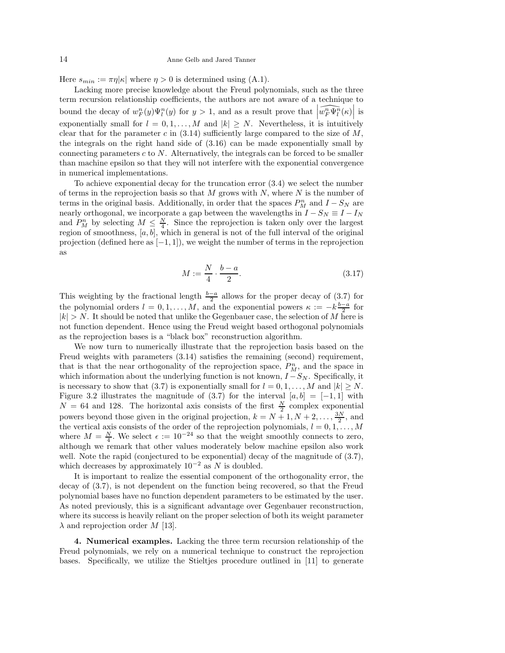Here  $s_{min} := \pi \eta |\kappa|$  where  $\eta > 0$  is determined using (A.1).

Lacking more precise knowledge about the Freud polynomials, such as the three term recursion relationship coefficients, the authors are not aware of a technique to bound the decay of  $w_F^n(y)\Psi_l^n(y)$  for  $y>1$ , and as a result prove that  $\left|\widehat{w_F^n\Psi_l^n}(\kappa)\right|$  is exponentially small for  $l = 0, 1, ..., M$  and  $|k| \geq N$ . Nevertheless, it is intuitively clear that for the parameter c in  $(3.14)$  sufficiently large compared to the size of M, the integrals on the right hand side of (3.16) can be made exponentially small by connecting parameters  $c$  to  $N$ . Alternatively, the integrals can be forced to be smaller than machine epsilon so that they will not interfere with the exponential convergence in numerical implementations.

To achieve exponential decay for the truncation error (3.4) we select the number of terms in the reprojection basis so that  $M$  grows with  $N$ , where  $N$  is the number of terms in the original basis. Additionally, in order that the spaces  $P_M^n$  and  $I - S_N$  are nearly orthogonal, we incorporate a gap between the wavelengths in  $I - S_N \equiv I - I_N$ and  $P_M^n$  by selecting  $M \leq \frac{N}{4}$ . Since the reprojection is taken only over the largest region of smoothness,  $[a, b]$ , which in general is not of the full interval of the original projection (defined here as  $[-1, 1]$ ), we weight the number of terms in the reprojection as

$$
M := \frac{N}{4} \cdot \frac{b-a}{2}.\tag{3.17}
$$

This weighting by the fractional length  $\frac{b-a}{2}$  allows for the proper decay of (3.7) for the polynomial orders  $l = 0, 1, ..., M$ , and the exponential powers  $\kappa := -k\frac{b-a}{2}$  for  $|k| > N$ . It should be noted that unlike the Gegenbauer case, the selection of M here is not function dependent. Hence using the Freud weight based orthogonal polynomials as the reprojection bases is a "black box" reconstruction algorithm.

We now turn to numerically illustrate that the reprojection basis based on the Freud weights with parameters (3.14) satisfies the remaining (second) requirement, that is that the near orthogonality of the reprojection space,  $P_M^n$ , and the space in which information about the underlying function is not known,  $I - S_N$ . Specifically, it is necessary to show that (3.7) is exponentially small for  $l = 0, 1, ..., M$  and  $|k| \ge N$ . Figure 3.2 illustrates the magnitude of  $(3.7)$  for the interval  $[a, b] = [-1, 1]$  with  $N = 64$  and 128. The horizontal axis consists of the first  $\frac{N}{2}$  complex exponential powers beyond those given in the original projection,  $k = N + 1, N + 2, \ldots, \frac{3N}{2}$ , and the vertical axis consists of the order of the reprojection polynomials,  $l = 0, 1, ..., M$ where  $M = \frac{N}{4}$ . We select  $\epsilon := 10^{-24}$  so that the weight smoothly connects to zero, although we remark that other values moderately below machine epsilon also work well. Note the rapid (conjectured to be exponential) decay of the magnitude of  $(3.7)$ , which decreases by approximately  $10^{-2}$  as N is doubled.

It is important to realize the essential component of the orthogonality error, the decay of (3.7), is not dependent on the function being recovered, so that the Freud polynomial bases have no function dependent parameters to be estimated by the user. As noted previously, this is a significant advantage over Gegenbauer reconstruction, where its success is heavily reliant on the proper selection of both its weight parameter  $\lambda$  and reprojection order M [13].

4. Numerical examples. Lacking the three term recursion relationship of the Freud polynomials, we rely on a numerical technique to construct the reprojection bases. Specifically, we utilize the Stieltjes procedure outlined in [11] to generate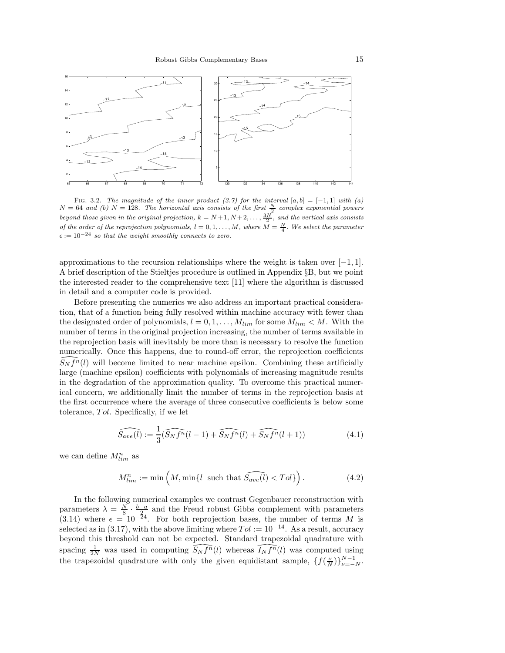

FIG. 3.2. The magnitude of the inner product (3.7) for the interval  $[a, b] = [-1, 1]$  with  $(a)$  $N = 64$  and (b)  $N = 128$ . The horizontal axis consists of the first  $\frac{N}{2}$  complex exponential powers beyond those given in the original projection,  $k = N+1, N+2, \ldots, \frac{3N}{2}$ , and the vertical axis consists of the order of the reprojection polynomials,  $l = 0, 1, ..., M$ , where  $M = \frac{N}{4}$ . We select the parameter  $\epsilon := 10^{-24}$  so that the weight smoothly connects to zero.

approximations to the recursion relationships where the weight is taken over  $[-1, 1]$ . A brief description of the Stieltjes procedure is outlined in Appendix §B, but we point the interested reader to the comprehensive text [11] where the algorithm is discussed in detail and a computer code is provided.

Before presenting the numerics we also address an important practical consideration, that of a function being fully resolved within machine accuracy with fewer than the designated order of polynomials,  $l = 0, 1, ..., M_{lim}$  for some  $M_{lim} < M$ . With the number of terms in the original projection increasing, the number of terms available in the reprojection basis will inevitably be more than is necessary to resolve the function numerically. Once this happens, due to round-off error, the reprojection coefficients  $S_N f^{n}(l)$  will become limited to near machine epsilon. Combining these artificially large (machine epsilon) coefficients with polynomials of increasing magnitude results in the degradation of the approximation quality. To overcome this practical numerical concern, we additionally limit the number of terms in the reprojection basis at the first occurrence where the average of three consecutive coefficients is below some tolerance, Tol. Specifically, if we let

$$
\widehat{S_{ave}(l)} := \frac{1}{3} (\widehat{S_N f^n}(l-1) + \widehat{S_N f^n}(l) + \widehat{S_N f^n}(l+1))
$$
\n(4.1)

we can define  $M_{lim}^n$  as

$$
M_{lim}^n := \min\left(M, \min\{l \text{ such that } \widehat{S_{ave}(l)} < Tol\}\right). \tag{4.2}
$$

In the following numerical examples we contrast Gegenbauer reconstruction with parameters  $\lambda = \frac{N}{8} \cdot \frac{b-a}{24}$  and the Freud robust Gibbs complement with parameters (3.14) where  $\epsilon = 10^{-24}$ . For both reprojection bases, the number of terms M is selected as in (3.17), with the above limiting where  $Tol := 10^{-14}$ . As a result, accuracy beyond this threshold can not be expected. Standard trapezoidal quadrature with spacing  $\frac{1}{2N}$  was used in computing  $\widehat{S_N f^n}(l)$  whereas  $\widehat{I_N f^n}(l)$  was computed using the trapezoidal quadrature with only the given equidistant sample,  $\{f(\frac{\nu}{N})\}_{\nu=-N}^{N-1}$ .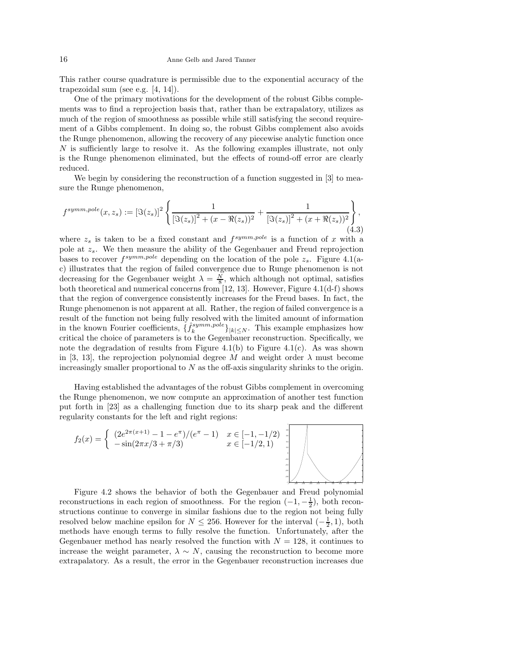This rather course quadrature is permissible due to the exponential accuracy of the trapezoidal sum (see e.g. [4, 14]).

One of the primary motivations for the development of the robust Gibbs complements was to find a reprojection basis that, rather than be extrapalatory, utilizes as much of the region of smoothness as possible while still satisfying the second requirement of a Gibbs complement. In doing so, the robust Gibbs complement also avoids the Runge phenomenon, allowing the recovery of any piecewise analytic function once N is sufficiently large to resolve it. As the following examples illustrate, not only is the Runge phenomenon eliminated, but the effects of round-off error are clearly reduced.

We begin by considering the reconstruction of a function suggested in [3] to measure the Runge phenomenon,

$$
f^{symm, pole}(x, z_s) := \left[\Im(z_s)\right]^2 \left\{ \frac{1}{\left[\Im(z_s)\right]^2 + (x - \Re(z_s))^2} + \frac{1}{\left[\Im(z_s)\right]^2 + (x + \Re(z_s))^2} \right\},\tag{4.3}
$$

where  $z_s$  is taken to be a fixed constant and  $f^{symm, pole}$  is a function of x with a pole at  $z_s$ . We then measure the ability of the Gegenbauer and Freud reprojection bases to recover  $f^{symm, pole}$  depending on the location of the pole  $z_s$ . Figure 4.1(ac) illustrates that the region of failed convergence due to Runge phenomenon is not decreasing for the Gegenbauer weight  $\lambda = \frac{N}{8}$ , which although not optimal, satisfies both theoretical and numerical concerns from [12, 13]. However, Figure 4.1(d-f) shows that the region of convergence consistently increases for the Freud bases. In fact, the Runge phenomenon is not apparent at all. Rather, the region of failed convergence is a result of the function not being fully resolved with the limited amount of information in the known Fourier coefficients,  $\{\hat{f}_k^{symm, pole}\}_{|k|\leq N}$ . This example emphasizes how critical the choice of parameters is to the Gegenbauer reconstruction. Specifically, we note the degradation of results from Figure 4.1(b) to Figure 4.1(c). As was shown in [3, 13], the reprojection polynomial degree M and weight order  $\lambda$  must become increasingly smaller proportional to  $N$  as the off-axis singularity shrinks to the origin.

Having established the advantages of the robust Gibbs complement in overcoming the Runge phenomenon, we now compute an approximation of another test function put forth in [23] as a challenging function due to its sharp peak and the different regularity constants for the left and right regions:

$$
f_2(x) = \begin{cases} (2e^{2\pi(x+1)} - 1 - e^{\pi})/(e^{\pi} - 1) & x \in [-1, -1/2) \\ -\sin(2\pi x/3 + \pi/3) & x \in [-1/2, 1) \end{cases}
$$

1

Figure 4.2 shows the behavior of both the Gegenbauer and Freud polynomial reconstructions in each region of smoothness. For the region  $(-1, -\frac{1}{2})$ , both reconstructions continue to converge in similar fashions due to the region not being fully resolved below machine epsilon for  $N \leq 256$ . However for the interval  $\left(-\frac{1}{2}, 1\right)$ , both methods have enough terms to fully resolve the function. Unfortunately, after the Gegenbauer method has nearly resolved the function with  $N = 128$ , it continues to increase the weight parameter,  $\lambda \sim N$ , causing the reconstruction to become more extrapalatory. As a result, the error in the Gegenbauer reconstruction increases due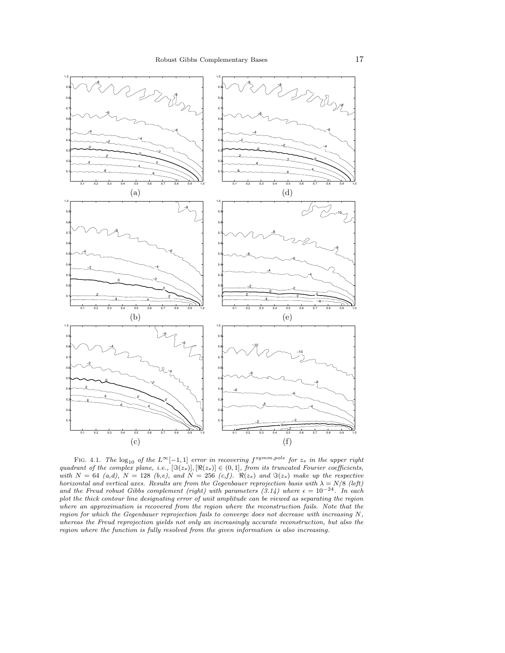

FIG. 4.1. The  $log_{10}$  of the  $L^{\infty}[-1,1]$  error in recovering  $f^{symm, pole}$  for  $z_s$  in the upper right quadrant of the complex plane, i.e.,  $[\Im(z_s)]$ ,  $[\Re(z_s)] \in (0,1]$ , from its truncated Fourier coefficients, with  $N = 64$  (a,d),  $N = 128$  (b,e), and  $N = 256$  (c,f).  $\Re(z_s)$  and  $\Im(z_s)$  make up the respective horizontal and vertical axes. Results are from the Gegenbauer reprojection basis with  $\lambda = N/8$  (left) and the Freud robust Gibbs complement (right) with parameters (3.14) where  $\epsilon = 10^{-24}$ . In each plot the thick contour line designating error of unit amplitude can be viewed as separating the region where an approximation is recovered from the region where the reconstruction fails. Note that the region for which the Gegenbauer reprojection fails to converge does not decrease with increasing N, whereas the Freud reprojection yields not only an increasingly accurate reconstruction, but also the region where the function is fully resolved from the given information is also increasing.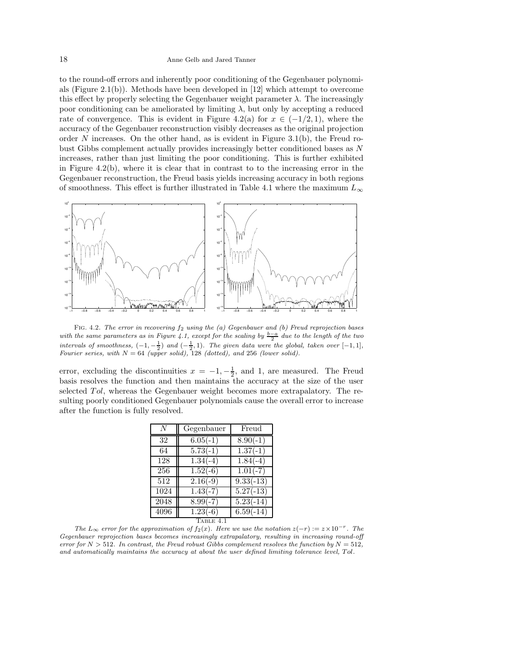to the round-off errors and inherently poor conditioning of the Gegenbauer polynomials (Figure 2.1(b)). Methods have been developed in  $[12]$  which attempt to overcome this effect by properly selecting the Gegenbauer weight parameter  $\lambda$ . The increasingly poor conditioning can be ameliorated by limiting  $\lambda$ , but only by accepting a reduced rate of convergence. This is evident in Figure 4.2(a) for  $x \in (-1/2, 1)$ , where the accuracy of the Gegenbauer reconstruction visibly decreases as the original projection order N increases. On the other hand, as is evident in Figure 3.1(b), the Freud robust Gibbs complement actually provides increasingly better conditioned bases as N increases, rather than just limiting the poor conditioning. This is further exhibited in Figure 4.2(b), where it is clear that in contrast to to the increasing error in the Gegenbauer reconstruction, the Freud basis yields increasing accuracy in both regions of smoothness. This effect is further illustrated in Table 4.1 where the maximum  $L_{\infty}$ 



FIG. 4.2. The error in recovering  $f_2$  using the (a) Gegenbauer and (b) Freud reprojection bases with the same parameters as in Figure 4.1, except for the scaling by  $\frac{b-a}{2}$  due to the length of the two intervals of smoothness,  $(-1, -\frac{1}{2})$  and  $(-\frac{1}{2}, 1)$ . The given data were the global, taken over  $[-1, 1]$ , Fourier series, with  $N = 64$  (upper solid), 128 (dotted), and 256 (lower solid).

error, excluding the discontinuities  $x = -1, -\frac{1}{2}$ , and 1, are measured. The Freud basis resolves the function and then maintains the accuracy at the size of the user selected Tol, whereas the Gegenbauer weight becomes more extrapalatory. The resulting poorly conditioned Gegenbauer polynomials cause the overall error to increase after the function is fully resolved.

| N                | Gegenbauer | Freud                |
|------------------|------------|----------------------|
| 32               | $6.05(-1)$ | $\frac{8.90(-1)}{2}$ |
| 64               | $5.73(-1)$ | $1.37(-1)$           |
| 128              | $1.34(-4)$ | $1.84(-4)$           |
| 256              | $1.52(-6)$ | $1.01(-7)$           |
| $\overline{5}12$ | $2.16(-9)$ | $9.33(-13)$          |
| 1024             | $1.43(-7)$ | $5.27(-13)$          |
| 2048             | $8.99(-7)$ | $5.23(-14)$          |
| 4096             | $1.23(-6)$ | $6.59(-14)$          |
| TABLE 4.1        |            |                      |

The  $L_{\infty}$  error for the approximation of  $f_2(x)$ . Here we use the notation  $z(-r) := z \times 10^{-r}$ . The Gegenbauer reprojection bases becomes increasingly extrapalatory, resulting in increasing round-off error for  $N > 512$ . In contrast, the Freud robust Gibbs complement resolves the function by  $N = 512$ , and automatically maintains the accuracy at about the user defined limiting tolerance level, Tol.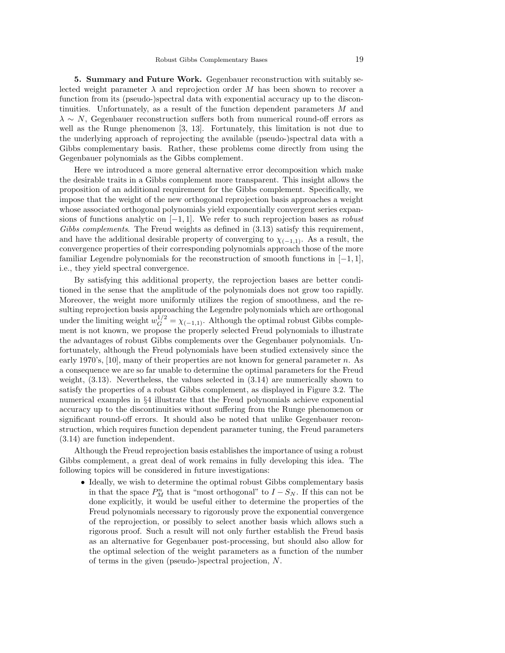5. Summary and Future Work. Gegenbauer reconstruction with suitably selected weight parameter  $\lambda$  and reprojection order M has been shown to recover a function from its (pseudo-)spectral data with exponential accuracy up to the discontinuities. Unfortunately, as a result of the function dependent parameters M and  $\lambda \sim N$ , Gegenbauer reconstruction suffers both from numerical round-off errors as well as the Runge phenomenon [3, 13]. Fortunately, this limitation is not due to the underlying approach of reprojecting the available (pseudo-)spectral data with a Gibbs complementary basis. Rather, these problems come directly from using the Gegenbauer polynomials as the Gibbs complement.

Here we introduced a more general alternative error decomposition which make the desirable traits in a Gibbs complement more transparent. This insight allows the proposition of an additional requirement for the Gibbs complement. Specifically, we impose that the weight of the new orthogonal reprojection basis approaches a weight whose associated orthogonal polynomials yield exponentially convergent series expansions of functions analytic on  $[-1, 1]$ . We refer to such reprojection bases as *robust* Gibbs complements. The Freud weights as defined in  $(3.13)$  satisfy this requirement, and have the additional desirable property of converging to  $\chi_{(-1,1)}$ . As a result, the convergence properties of their corresponding polynomials approach those of the more familiar Legendre polynomials for the reconstruction of smooth functions in  $[-1, 1]$ , i.e., they yield spectral convergence.

By satisfying this additional property, the reprojection bases are better conditioned in the sense that the amplitude of the polynomials does not grow too rapidly. Moreover, the weight more uniformly utilizes the region of smoothness, and the resulting reprojection basis approaching the Legendre polynomials which are orthogonal under the limiting weight  $w_G^{1/2} = \chi_{(-1,1)}$ . Although the optimal robust Gibbs complement is not known, we propose the properly selected Freud polynomials to illustrate the advantages of robust Gibbs complements over the Gegenbauer polynomials. Unfortunately, although the Freud polynomials have been studied extensively since the early 1970's, [10], many of their properties are not known for general parameter n. As a consequence we are so far unable to determine the optimal parameters for the Freud weight, (3.13). Nevertheless, the values selected in (3.14) are numerically shown to satisfy the properties of a robust Gibbs complement, as displayed in Figure 3.2. The numerical examples in §4 illustrate that the Freud polynomials achieve exponential accuracy up to the discontinuities without suffering from the Runge phenomenon or significant round-off errors. It should also be noted that unlike Gegenbauer reconstruction, which requires function dependent parameter tuning, the Freud parameters (3.14) are function independent.

Although the Freud reprojection basis establishes the importance of using a robust Gibbs complement, a great deal of work remains in fully developing this idea. The following topics will be considered in future investigations:

• Ideally, we wish to determine the optimal robust Gibbs complementary basis in that the space  $P_M^n$  that is "most orthogonal" to  $I - S_N$ . If this can not be done explicitly, it would be useful either to determine the properties of the Freud polynomials necessary to rigorously prove the exponential convergence of the reprojection, or possibly to select another basis which allows such a rigorous proof. Such a result will not only further establish the Freud basis as an alternative for Gegenbauer post-processing, but should also allow for the optimal selection of the weight parameters as a function of the number of terms in the given (pseudo-)spectral projection, N.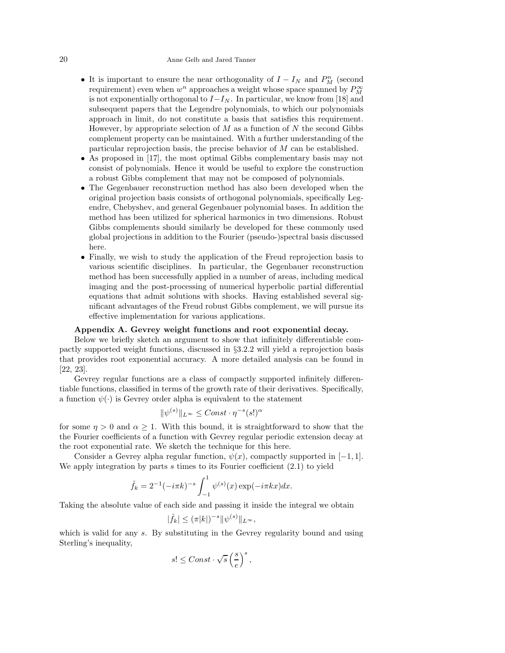## 20 Anne Gelb and Jared Tanner

- It is important to ensure the near orthogonality of  $I I_N$  and  $P_M^n$  (second requirement) even when  $w^n$  approaches a weight whose space spanned by  $P_M^{\infty}$ is not exponentially orthogonal to  $I-I_N$ . In particular, we know from [18] and subsequent papers that the Legendre polynomials, to which our polynomials approach in limit, do not constitute a basis that satisfies this requirement. However, by appropriate selection of  $M$  as a function of  $N$  the second Gibbs complement property can be maintained. With a further understanding of the particular reprojection basis, the precise behavior of  $M$  can be established.
- As proposed in [17], the most optimal Gibbs complementary basis may not consist of polynomials. Hence it would be useful to explore the construction a robust Gibbs complement that may not be composed of polynomials.
- The Gegenbauer reconstruction method has also been developed when the original projection basis consists of orthogonal polynomials, specifically Legendre, Chebyshev, and general Gegenbauer polynomial bases. In addition the method has been utilized for spherical harmonics in two dimensions. Robust Gibbs complements should similarly be developed for these commonly used global projections in addition to the Fourier (pseudo-)spectral basis discussed here.
- Finally, we wish to study the application of the Freud reprojection basis to various scientific disciplines. In particular, the Gegenbauer reconstruction method has been successfully applied in a number of areas, including medical imaging and the post-processing of numerical hyperbolic partial differential equations that admit solutions with shocks. Having established several significant advantages of the Freud robust Gibbs complement, we will pursue its effective implementation for various applications.

#### Appendix A. Gevrey weight functions and root exponential decay.

Below we briefly sketch an argument to show that infinitely differentiable compactly supported weight functions, discussed in §3.2.2 will yield a reprojection basis that provides root exponential accuracy. A more detailed analysis can be found in [22, 23].

Gevrey regular functions are a class of compactly supported infinitely differentiable functions, classified in terms of the growth rate of their derivatives. Specifically, a function  $\psi(\cdot)$  is Gevrey order alpha is equivalent to the statement

$$
\|\psi^{(s)}\|_{L^{\infty}} \leq Const \cdot \eta^{-s}(s!)^{\alpha}
$$

for some  $\eta > 0$  and  $\alpha \geq 1$ . With this bound, it is straightforward to show that the the Fourier coefficients of a function with Gevrey regular periodic extension decay at the root exponential rate. We sketch the technique for this here.

Consider a Gevrey alpha regular function,  $\psi(x)$ , compactly supported in [−1, 1]. We apply integration by parts s times to its Fourier coefficient  $(2.1)$  to yield

$$
\hat{f}_k = 2^{-1}(-i\pi k)^{-s} \int_{-1}^1 \psi^{(s)}(x) \exp(-i\pi kx) dx.
$$

Taking the absolute value of each side and passing it inside the integral we obtain

$$
|\hat{f}_k| \le (\pi |k|)^{-s} \|\psi^{(s)}\|_{L^\infty},
$$

which is valid for any s. By substituting in the Gevrey regularity bound and using Sterling's inequality,

$$
s! \leq Const \cdot \sqrt{s} \left(\frac{s}{e}\right)^s,
$$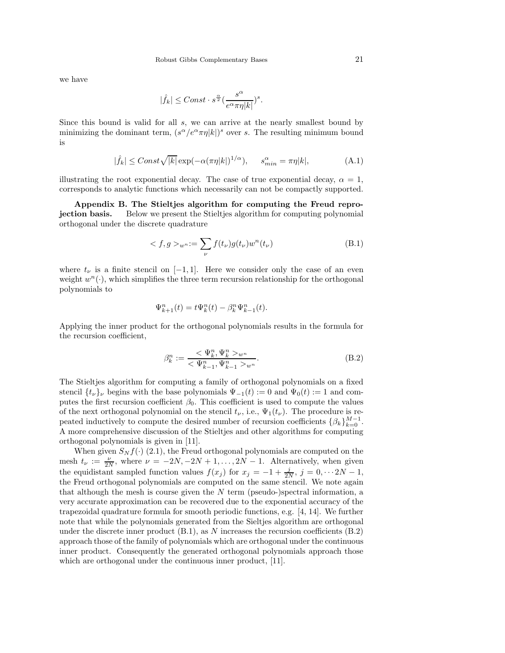we have

$$
|\widehat{f}_k|\leq Const\cdot s^{\frac{\alpha}{2}}\big(\frac{s^\alpha}{e^\alpha\pi\eta |k|}\big)^s.
$$

Since this bound is valid for all s, we can arrive at the nearly smallest bound by minimizing the dominant term,  $(s^{\alpha}/e^{\alpha}\pi\eta|k|)^s$  over s. The resulting minimum bound is

$$
|\hat{f}_k| \leq Const \sqrt{|k|} \exp(-\alpha(\pi \eta |k|)^{1/\alpha}), \quad s_{min}^{\alpha} = \pi \eta |k|,
$$
 (A.1)

illustrating the root exponential decay. The case of true exponential decay,  $\alpha = 1$ , corresponds to analytic functions which necessarily can not be compactly supported.

Appendix B. The Stieltjes algorithm for computing the Freud reprojection basis. Below we present the Stieltjes algorithm for computing polynomial orthogonal under the discrete quadrature

$$
\langle f, g \rangle_{w^n} := \sum_{\nu} f(t_{\nu}) g(t_{\nu}) w^n(t_{\nu}) \tag{B.1}
$$

where  $t_{\nu}$  is a finite stencil on [−1, 1]. Here we consider only the case of an even weight  $w^n(\cdot)$ , which simplifies the three term recursion relationship for the orthogonal polynomials to

$$
\Psi_{k+1}^n(t) = t\Psi_k^n(t) - \beta_k^n \Psi_{k-1}^n(t).
$$

Applying the inner product for the orthogonal polynomials results in the formula for the recursion coefficient,

$$
\beta_k^n := \frac{\langle \Psi_k^n, \Psi_k^n \rangle_{w^n}}{\langle \Psi_{k-1}^n, \Psi_{k-1}^n \rangle_{w^n}}.
$$
\n(B.2)

The Stieltjes algorithm for computing a family of orthogonal polynomials on a fixed stencil  $\{t_{\nu}\}_{\nu}$  begins with the base polynomials  $\Psi_{-1}(t) := 0$  and  $\Psi_{0}(t) := 1$  and computes the first recursion coefficient  $\beta_0$ . This coefficient is used to compute the values of the next orthogonal polynomial on the stencil  $t_{\nu}$ , i.e.,  $\Psi_1(t_{\nu})$ . The procedure is repeated inductively to compute the desired number of recursion coefficients  $\{\beta_k\}_{k=0}^{M-1}$ . A more comprehensive discussion of the Stieltjes and other algorithms for computing orthogonal polynomials is given in [11].

When given  $S_N f(\cdot)$  (2.1), the Freud orthogonal polynomials are computed on the mesh  $t_{\nu} := \frac{\nu}{2N}$ , where  $\nu = -2N, -2N + 1, \ldots, 2N - 1$ . Alternatively, when given the equidistant sampled function values  $f(x_j)$  for  $x_j = -1 + \frac{j}{2N}$ ,  $j = 0, \cdots 2N - 1$ , the Freud orthogonal polynomials are computed on the same stencil. We note again that although the mesh is course given the  $N$  term (pseudo-)spectral information, a very accurate approximation can be recovered due to the exponential accuracy of the trapezoidal quadrature formula for smooth periodic functions, e.g. [4, 14]. We further note that while the polynomials generated from the Sieltjes algorithm are orthogonal under the discrete inner product  $(B.1)$ , as N increases the recursion coefficients  $(B.2)$ approach those of the family of polynomials which are orthogonal under the continuous inner product. Consequently the generated orthogonal polynomials approach those which are orthogonal under the continuous inner product, [11].